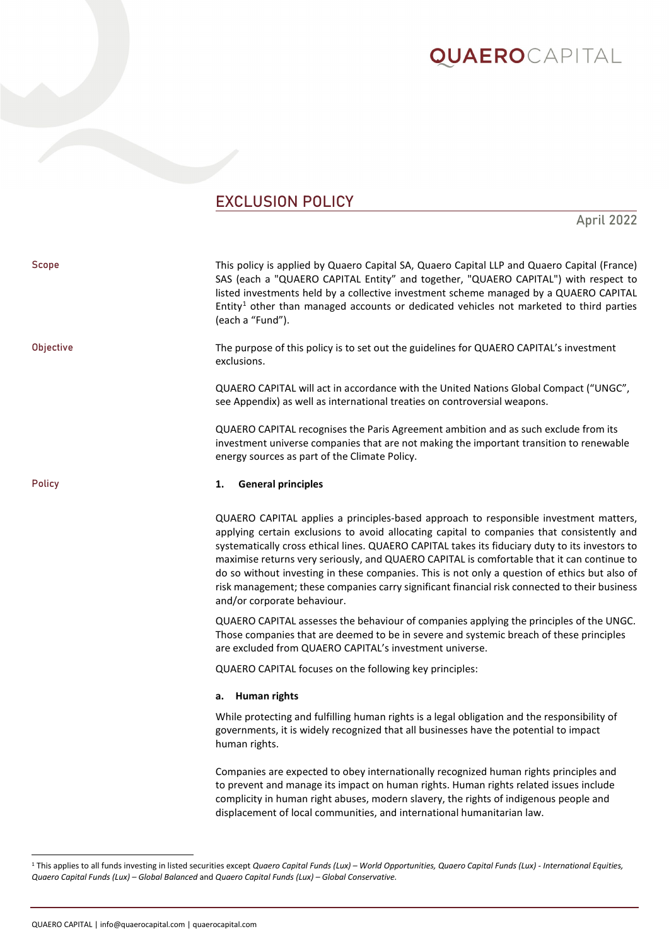# **QUAERO**CAPITAL

# EXCLUSION POLICY

# April 2022

| Scope     | This policy is applied by Quaero Capital SA, Quaero Capital LLP and Quaero Capital (France)<br>SAS (each a "QUAERO CAPITAL Entity" and together, "QUAERO CAPITAL") with respect to<br>listed investments held by a collective investment scheme managed by a QUAERO CAPITAL<br>Entity <sup>1</sup> other than managed accounts or dedicated vehicles not marketed to third parties<br>(each a "Fund").                                                                                                                                                                                                                |
|-----------|-----------------------------------------------------------------------------------------------------------------------------------------------------------------------------------------------------------------------------------------------------------------------------------------------------------------------------------------------------------------------------------------------------------------------------------------------------------------------------------------------------------------------------------------------------------------------------------------------------------------------|
| Objective | The purpose of this policy is to set out the guidelines for QUAERO CAPITAL's investment<br>exclusions.                                                                                                                                                                                                                                                                                                                                                                                                                                                                                                                |
|           | QUAERO CAPITAL will act in accordance with the United Nations Global Compact ("UNGC",<br>see Appendix) as well as international treaties on controversial weapons.                                                                                                                                                                                                                                                                                                                                                                                                                                                    |
|           | QUAERO CAPITAL recognises the Paris Agreement ambition and as such exclude from its<br>investment universe companies that are not making the important transition to renewable<br>energy sources as part of the Climate Policy.                                                                                                                                                                                                                                                                                                                                                                                       |
| Policy    | <b>General principles</b><br>1.                                                                                                                                                                                                                                                                                                                                                                                                                                                                                                                                                                                       |
|           | QUAERO CAPITAL applies a principles-based approach to responsible investment matters,<br>applying certain exclusions to avoid allocating capital to companies that consistently and<br>systematically cross ethical lines. QUAERO CAPITAL takes its fiduciary duty to its investors to<br>maximise returns very seriously, and QUAERO CAPITAL is comfortable that it can continue to<br>do so without investing in these companies. This is not only a question of ethics but also of<br>risk management; these companies carry significant financial risk connected to their business<br>and/or corporate behaviour. |
|           | QUAERO CAPITAL assesses the behaviour of companies applying the principles of the UNGC.<br>Those companies that are deemed to be in severe and systemic breach of these principles<br>are excluded from QUAERO CAPITAL's investment universe.                                                                                                                                                                                                                                                                                                                                                                         |
|           | QUAERO CAPITAL focuses on the following key principles:                                                                                                                                                                                                                                                                                                                                                                                                                                                                                                                                                               |
|           | a. Human rights                                                                                                                                                                                                                                                                                                                                                                                                                                                                                                                                                                                                       |
|           | While protecting and fulfilling human rights is a legal obligation and the responsibility of<br>governments, it is widely recognized that all businesses have the potential to impact<br>human rights.                                                                                                                                                                                                                                                                                                                                                                                                                |
|           | Companies are expected to obey internationally recognized human rights principles and<br>to prevent and manage its impact on human rights. Human rights related issues include<br>complicity in human right abuses, modern slavery, the rights of indigenous people and<br>displacement of local communities, and international humanitarian law.                                                                                                                                                                                                                                                                     |

<span id="page-0-0"></span><sup>1</sup> This applies to all funds investing in listed securities except *Quaero Capital Funds (Lux) – World Opportunities, Quaero Capital Funds (Lux) - International Equities, Quaero Capital Funds (Lux) – Global Balanced* and *Quaero Capital Funds (Lux) – Global Conservative.*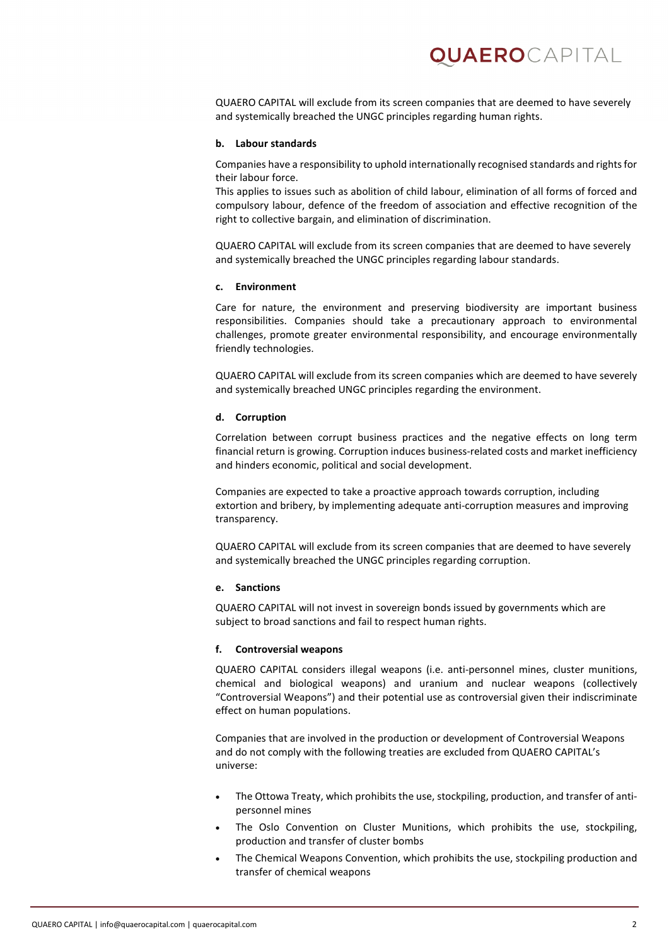# **QUAERO**capital

QUAERO CAPITAL will exclude from its screen companies that are deemed to have severely and systemically breached the UNGC principles regarding human rights.

#### **b. Labour standards**

Companies have a responsibility to uphold internationally recognised standards and rights for their labour force.

This applies to issues such as abolition of child labour, elimination of all forms of forced and compulsory labour, defence of the freedom of association and effective recognition of the right to collective bargain, and elimination of discrimination.

QUAERO CAPITAL will exclude from its screen companies that are deemed to have severely and systemically breached the UNGC principles regarding labour standards.

#### **c. Environment**

Care for nature, the environment and preserving biodiversity are important business responsibilities. Companies should take a precautionary approach to environmental challenges, promote greater environmental responsibility, and encourage environmentally friendly technologies.

QUAERO CAPITAL will exclude from its screen companies which are deemed to have severely and systemically breached UNGC principles regarding the environment.

#### **d. Corruption**

Correlation between corrupt business practices and the negative effects on long term financial return is growing. Corruption induces business-related costs and market inefficiency and hinders economic, political and social development.

Companies are expected to take a proactive approach towards corruption, including extortion and bribery, by implementing adequate anti-corruption measures and improving transparency.

QUAERO CAPITAL will exclude from its screen companies that are deemed to have severely and systemically breached the UNGC principles regarding corruption.

# **e. Sanctions**

QUAERO CAPITAL will not invest in sovereign bonds issued by governments which are subject to broad sanctions and fail to respect human rights.

#### **f. Controversial weapons**

QUAERO CAPITAL considers illegal weapons (i.e. anti-personnel mines, cluster munitions, chemical and biological weapons) and uranium and nuclear weapons (collectively "Controversial Weapons") and their potential use as controversial given their indiscriminate effect on human populations.

Companies that are involved in the production or development of Controversial Weapons and do not comply with the following treaties are excluded from QUAERO CAPITAL's universe:

- The Ottowa Treaty, which prohibits the use, stockpiling, production, and transfer of antipersonnel mines
- The Oslo Convention on Cluster Munitions, which prohibits the use, stockpiling, production and transfer of cluster bombs
- The Chemical Weapons Convention, which prohibits the use, stockpiling production and transfer of chemical weapons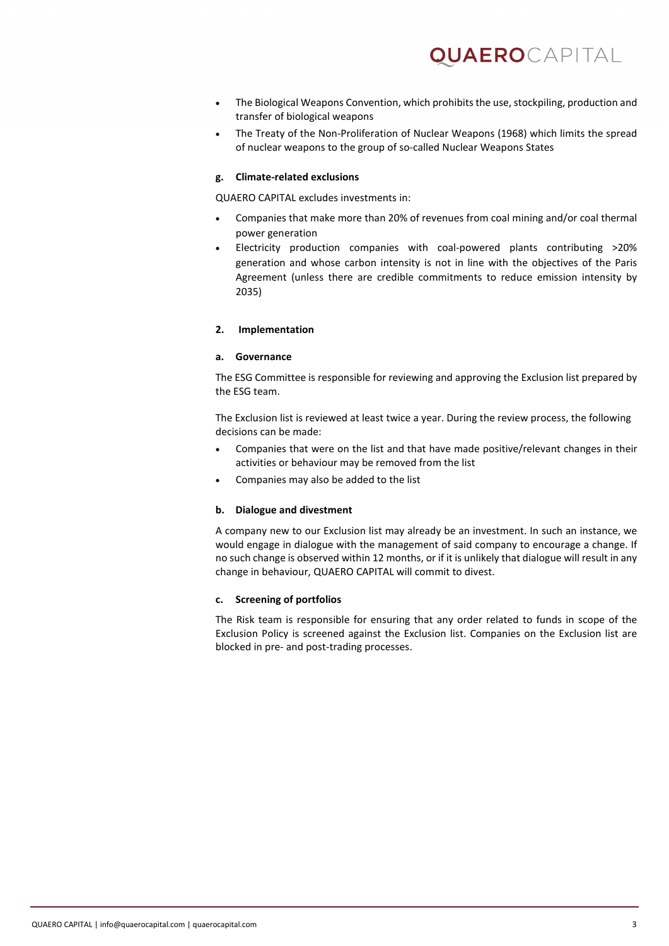- The Biological Weapons Convention, which prohibits the use, stockpiling, production and transfer of biological weapons
- The Treaty of the Non-Proliferation of Nuclear Weapons (1968) which limits the spread of nuclear weapons to the group of so-called Nuclear Weapons States

# **g. Climate-related exclusions**

QUAERO CAPITAL excludes investments in:

- Companies that make more than 20% of revenues from coal mining and/or coal thermal power generation
- Electricity production companies with coal-powered plants contributing >20% generation and whose carbon intensity is not in line with the objectives of the Paris Agreement (unless there are credible commitments to reduce emission intensity by 2035)

# **2. Implementation**

#### **a. Governance**

The ESG Committee is responsible for reviewing and approving the Exclusion list prepared by the ESG team.

The Exclusion list is reviewed at least twice a year. During the review process, the following decisions can be made:

- Companies that were on the list and that have made positive/relevant changes in their activities or behaviour may be removed from the list
- Companies may also be added to the list

#### **b. Dialogue and divestment**

A company new to our Exclusion list may already be an investment. In such an instance, we would engage in dialogue with the management of said company to encourage a change. If no such change is observed within 12 months, or if it is unlikely that dialogue will result in any change in behaviour, QUAERO CAPITAL will commit to divest.

# **c. Screening of portfolios**

The Risk team is responsible for ensuring that any order related to funds in scope of the Exclusion Policy is screened against the Exclusion list. Companies on the Exclusion list are blocked in pre- and post-trading processes.